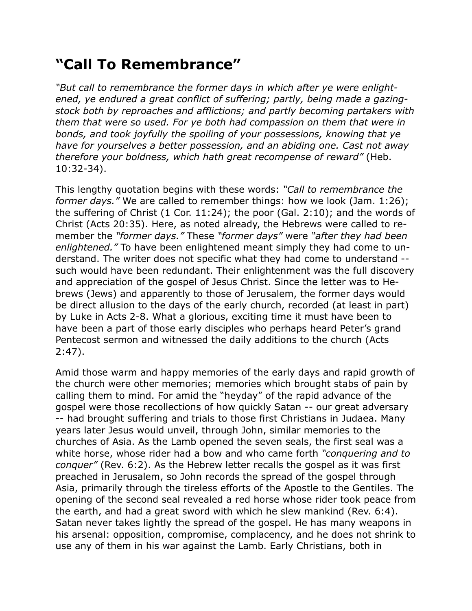## **"Call To Remembrance"**

*"But call to remembrance the former days in which after ye were enlightened, ye endured a great conflict of suffering; partly, being made a gazingstock both by reproaches and afflictions; and partly becoming partakers with them that were so used. For ye both had compassion on them that were in bonds, and took joyfully the spoiling of your possessions, knowing that ye have for yourselves a better possession, and an abiding one. Cast not away therefore your boldness, which hath great recompense of reward"* (Heb. 10:32-34).

This lengthy quotation begins with these words: *"Call to remembrance the former days."* We are called to remember things: how we look (Jam. 1:26); the suffering of Christ (1 Cor. 11:24); the poor (Gal. 2:10); and the words of Christ (Acts 20:35). Here, as noted already, the Hebrews were called to remember the *"former days."* These *"former days"* were *"after they had been enlightened."* To have been enlightened meant simply they had come to understand. The writer does not specific what they had come to understand - such would have been redundant. Their enlightenment was the full discovery and appreciation of the gospel of Jesus Christ. Since the letter was to Hebrews (Jews) and apparently to those of Jerusalem, the former days would be direct allusion to the days of the early church, recorded (at least in part) by Luke in Acts 2-8. What a glorious, exciting time it must have been to have been a part of those early disciples who perhaps heard Peter's grand Pentecost sermon and witnessed the daily additions to the church (Acts 2:47).

Amid those warm and happy memories of the early days and rapid growth of the church were other memories; memories which brought stabs of pain by calling them to mind. For amid the "heyday" of the rapid advance of the gospel were those recollections of how quickly Satan -- our great adversary -- had brought suffering and trials to those first Christians in Judaea. Many years later Jesus would unveil, through John, similar memories to the churches of Asia. As the Lamb opened the seven seals, the first seal was a white horse, whose rider had a bow and who came forth *"conquering and to conquer"* (Rev. 6:2). As the Hebrew letter recalls the gospel as it was first preached in Jerusalem, so John records the spread of the gospel through Asia, primarily through the tireless efforts of the Apostle to the Gentiles. The opening of the second seal revealed a red horse whose rider took peace from the earth, and had a great sword with which he slew mankind (Rev. 6:4). Satan never takes lightly the spread of the gospel. He has many weapons in his arsenal: opposition, compromise, complacency, and he does not shrink to use any of them in his war against the Lamb. Early Christians, both in